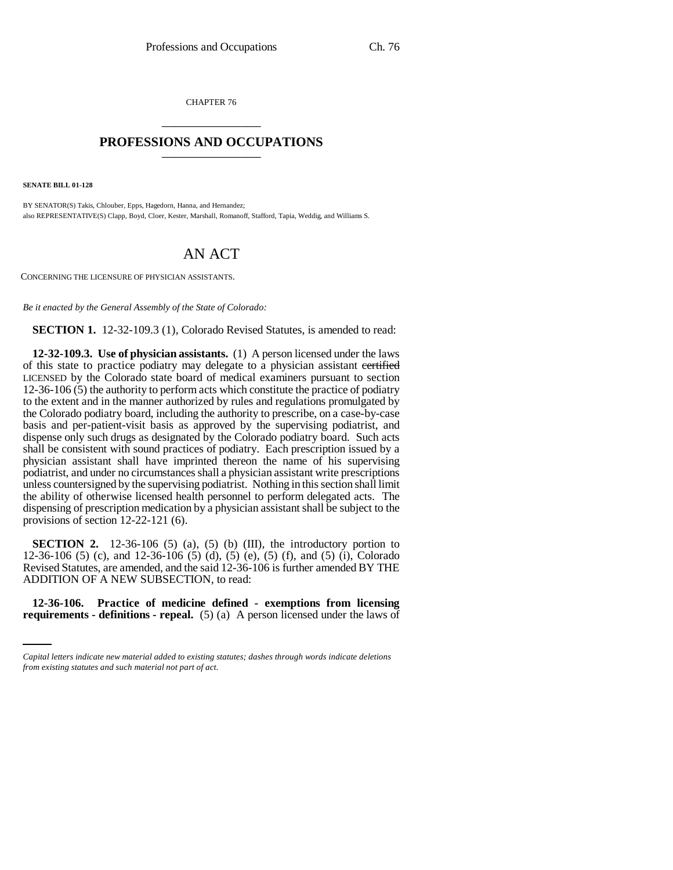CHAPTER 76 \_\_\_\_\_\_\_\_\_\_\_\_\_\_\_

## **PROFESSIONS AND OCCUPATIONS** \_\_\_\_\_\_\_\_\_\_\_\_\_\_\_

**SENATE BILL 01-128**

BY SENATOR(S) Takis, Chlouber, Epps, Hagedorn, Hanna, and Hernandez; also REPRESENTATIVE(S) Clapp, Boyd, Cloer, Kester, Marshall, Romanoff, Stafford, Tapia, Weddig, and Williams S.

# AN ACT

CONCERNING THE LICENSURE OF PHYSICIAN ASSISTANTS.

*Be it enacted by the General Assembly of the State of Colorado:*

**SECTION 1.** 12-32-109.3 (1), Colorado Revised Statutes, is amended to read:

**12-32-109.3. Use of physician assistants.** (1) A person licensed under the laws of this state to practice podiatry may delegate to a physician assistant certified LICENSED by the Colorado state board of medical examiners pursuant to section 12-36-106 (5) the authority to perform acts which constitute the practice of podiatry to the extent and in the manner authorized by rules and regulations promulgated by the Colorado podiatry board, including the authority to prescribe, on a case-by-case basis and per-patient-visit basis as approved by the supervising podiatrist, and dispense only such drugs as designated by the Colorado podiatry board. Such acts shall be consistent with sound practices of podiatry. Each prescription issued by a physician assistant shall have imprinted thereon the name of his supervising podiatrist, and under no circumstances shall a physician assistant write prescriptions unless countersigned by the supervising podiatrist. Nothing in this section shall limit the ability of otherwise licensed health personnel to perform delegated acts. The dispensing of prescription medication by a physician assistant shall be subject to the provisions of section 12-22-121 (6).

ADDITION OF A NEW SUBSECTION, to read: **SECTION 2.** 12-36-106 (5) (a), (5) (b) (III), the introductory portion to 12-36-106 (5) (c), and 12-36-106 (5) (d), (5) (e), (5) (f), and (5) (i), Colorado Revised Statutes, are amended, and the said 12-36-106 is further amended BY THE

**12-36-106. Practice of medicine defined - exemptions from licensing requirements - definitions - repeal.** (5) (a) A person licensed under the laws of

*Capital letters indicate new material added to existing statutes; dashes through words indicate deletions from existing statutes and such material not part of act.*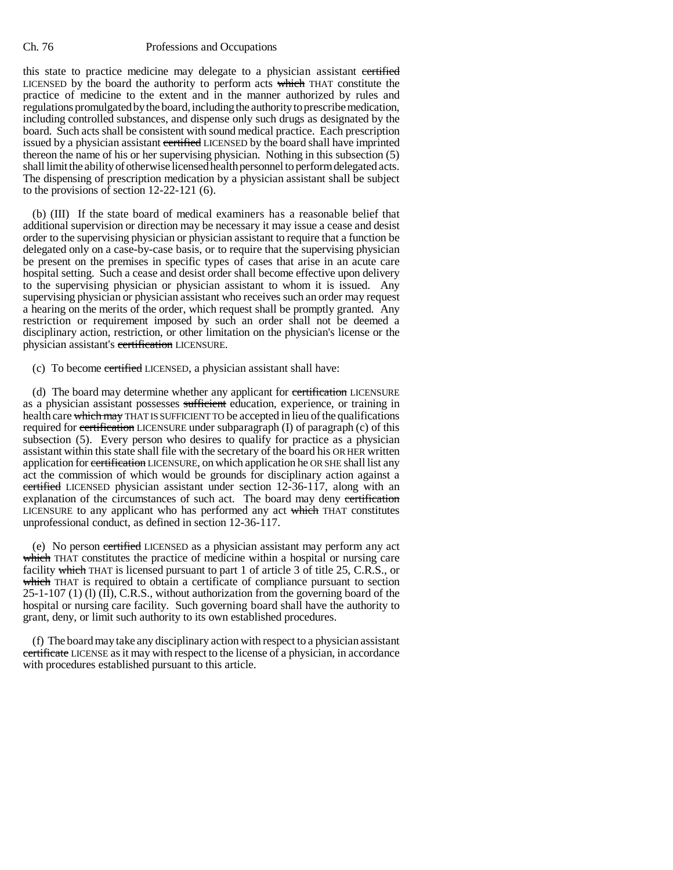this state to practice medicine may delegate to a physician assistant certified LICENSED by the board the authority to perform acts which THAT constitute the practice of medicine to the extent and in the manner authorized by rules and regulations promulgated by the board, including the authority to prescribe medication, including controlled substances, and dispense only such drugs as designated by the board. Such acts shall be consistent with sound medical practice. Each prescription issued by a physician assistant certified LICENSED by the board shall have imprinted thereon the name of his or her supervising physician. Nothing in this subsection (5) shall limit the ability of otherwise licensed health personnel to perform delegated acts. The dispensing of prescription medication by a physician assistant shall be subject to the provisions of section 12-22-121 (6).

(b) (III) If the state board of medical examiners has a reasonable belief that additional supervision or direction may be necessary it may issue a cease and desist order to the supervising physician or physician assistant to require that a function be delegated only on a case-by-case basis, or to require that the supervising physician be present on the premises in specific types of cases that arise in an acute care hospital setting. Such a cease and desist order shall become effective upon delivery to the supervising physician or physician assistant to whom it is issued. Any supervising physician or physician assistant who receives such an order may request a hearing on the merits of the order, which request shall be promptly granted. Any restriction or requirement imposed by such an order shall not be deemed a disciplinary action, restriction, or other limitation on the physician's license or the physician assistant's certification LICENSURE.

(c) To become certified LICENSED, a physician assistant shall have:

(d) The board may determine whether any applicant for certification LICENSURE as a physician assistant possesses sufficient education, experience, or training in health care which may THAT IS SUFFICIENT TO be accepted in lieu of the qualifications required for certification LICENSURE under subparagraph (I) of paragraph (c) of this subsection (5). Every person who desires to qualify for practice as a physician assistant within this state shall file with the secretary of the board his OR HER written application for certification LICENSURE, on which application he OR SHE shall list any act the commission of which would be grounds for disciplinary action against a certified LICENSED physician assistant under section 12-36-117, along with an explanation of the circumstances of such act. The board may deny certification LICENSURE to any applicant who has performed any act which THAT constitutes unprofessional conduct, as defined in section 12-36-117.

(e) No person certified LICENSED as a physician assistant may perform any act which THAT constitutes the practice of medicine within a hospital or nursing care facility which THAT is licensed pursuant to part 1 of article 3 of title 25, C.R.S., or which THAT is required to obtain a certificate of compliance pursuant to section 25-1-107 (1) (l) (II), C.R.S., without authorization from the governing board of the hospital or nursing care facility. Such governing board shall have the authority to grant, deny, or limit such authority to its own established procedures.

(f) The board may take any disciplinary action with respect to a physician assistant certificate LICENSE as it may with respect to the license of a physician, in accordance with procedures established pursuant to this article.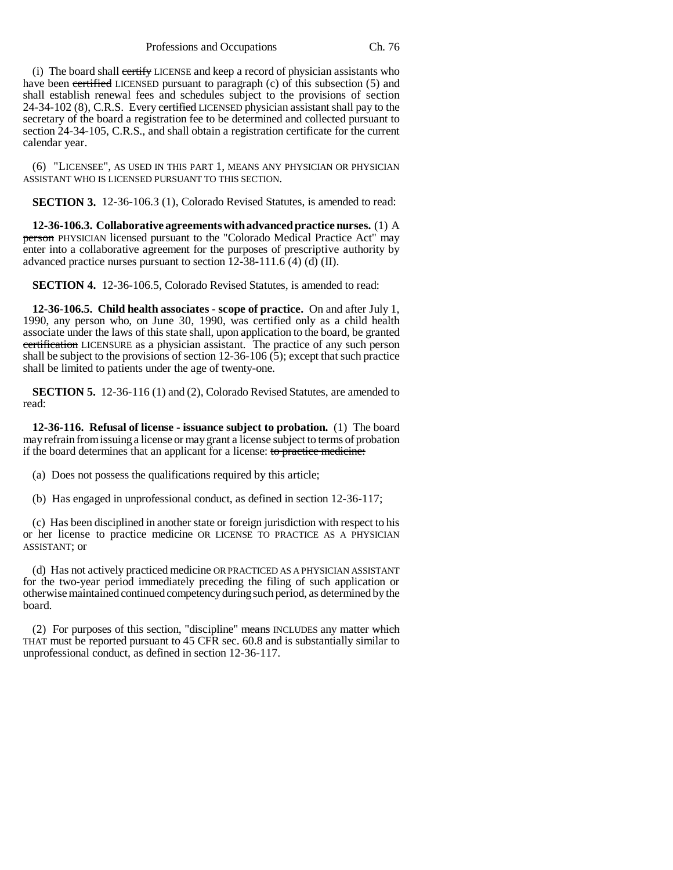Professions and Occupations Ch. 76

(i) The board shall certify LICENSE and keep a record of physician assistants who have been certified LICENSED pursuant to paragraph (c) of this subsection (5) and shall establish renewal fees and schedules subject to the provisions of section 24-34-102 (8), C.R.S. Every certified LICENSED physician assistant shall pay to the secretary of the board a registration fee to be determined and collected pursuant to section 24-34-105, C.R.S., and shall obtain a registration certificate for the current calendar year.

(6) "LICENSEE", AS USED IN THIS PART 1, MEANS ANY PHYSICIAN OR PHYSICIAN ASSISTANT WHO IS LICENSED PURSUANT TO THIS SECTION.

**SECTION 3.** 12-36-106.3 (1), Colorado Revised Statutes, is amended to read:

**12-36-106.3. Collaborative agreements with advanced practice nurses.** (1) A person PHYSICIAN licensed pursuant to the "Colorado Medical Practice Act" may enter into a collaborative agreement for the purposes of prescriptive authority by advanced practice nurses pursuant to section 12-38-111.6 (4) (d) (II).

**SECTION 4.** 12-36-106.5, Colorado Revised Statutes, is amended to read:

**12-36-106.5. Child health associates - scope of practice.** On and after July 1, 1990, any person who, on June 30, 1990, was certified only as a child health associate under the laws of this state shall, upon application to the board, be granted certification LICENSURE as a physician assistant. The practice of any such person shall be subject to the provisions of section 12-36-106 (5); except that such practice shall be limited to patients under the age of twenty-one.

**SECTION 5.** 12-36-116 (1) and (2), Colorado Revised Statutes, are amended to read:

**12-36-116. Refusal of license - issuance subject to probation.** (1) The board may refrain from issuing a license or may grant a license subject to terms of probation if the board determines that an applicant for a license: to practice medicine:

(a) Does not possess the qualifications required by this article;

(b) Has engaged in unprofessional conduct, as defined in section 12-36-117;

(c) Has been disciplined in another state or foreign jurisdiction with respect to his or her license to practice medicine OR LICENSE TO PRACTICE AS A PHYSICIAN ASSISTANT; or

(d) Has not actively practiced medicine OR PRACTICED AS A PHYSICIAN ASSISTANT for the two-year period immediately preceding the filing of such application or otherwise maintained continued competency during such period, as determined by the board.

(2) For purposes of this section, "discipline" means INCLUDES any matter which THAT must be reported pursuant to 45 CFR sec. 60.8 and is substantially similar to unprofessional conduct, as defined in section 12-36-117.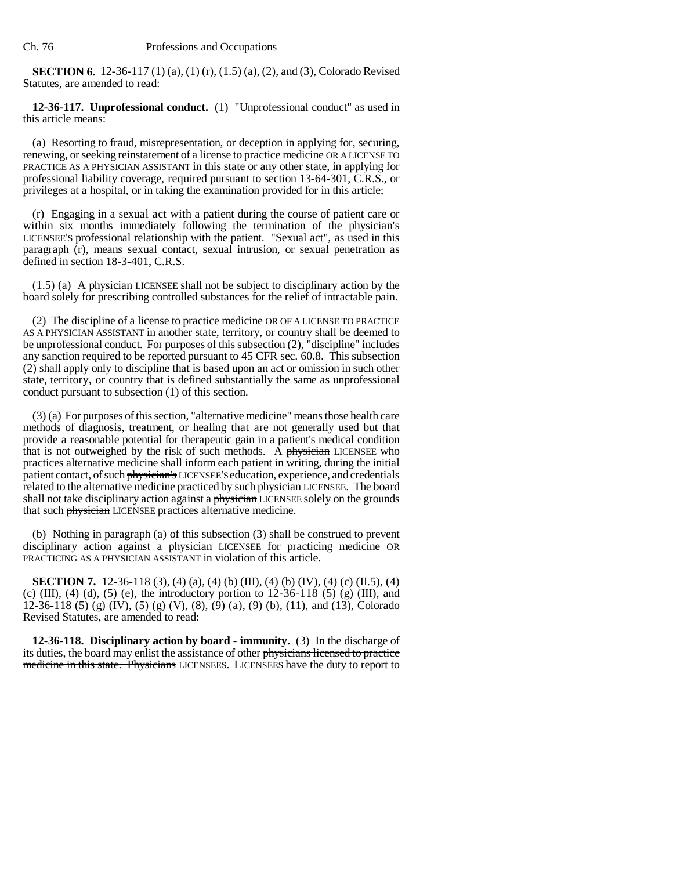**SECTION 6.** 12-36-117 (1) (a), (1) (r), (1.5) (a), (2), and (3), Colorado Revised Statutes, are amended to read:

**12-36-117. Unprofessional conduct.** (1) "Unprofessional conduct" as used in this article means:

(a) Resorting to fraud, misrepresentation, or deception in applying for, securing, renewing, or seeking reinstatement of a license to practice medicine OR A LICENSE TO PRACTICE AS A PHYSICIAN ASSISTANT in this state or any other state, in applying for professional liability coverage, required pursuant to section 13-64-301, C.R.S., or privileges at a hospital, or in taking the examination provided for in this article;

(r) Engaging in a sexual act with a patient during the course of patient care or within six months immediately following the termination of the physician's LICENSEE'S professional relationship with the patient. "Sexual act", as used in this paragraph (r), means sexual contact, sexual intrusion, or sexual penetration as defined in section 18-3-401, C.R.S.

 $(1.5)$  (a) A physician LICENSEE shall not be subject to disciplinary action by the board solely for prescribing controlled substances for the relief of intractable pain.

(2) The discipline of a license to practice medicine OR OF A LICENSE TO PRACTICE AS A PHYSICIAN ASSISTANT in another state, territory, or country shall be deemed to be unprofessional conduct. For purposes of this subsection (2), "discipline" includes any sanction required to be reported pursuant to 45 CFR sec. 60.8. This subsection (2) shall apply only to discipline that is based upon an act or omission in such other state, territory, or country that is defined substantially the same as unprofessional conduct pursuant to subsection (1) of this section.

(3) (a) For purposes of this section, "alternative medicine" means those health care methods of diagnosis, treatment, or healing that are not generally used but that provide a reasonable potential for therapeutic gain in a patient's medical condition that is not outweighed by the risk of such methods. A physician LICENSEE who practices alternative medicine shall inform each patient in writing, during the initial patient contact, of such physician's LICENSEE'S education, experience, and credentials related to the alternative medicine practiced by such physician LICENSEE. The board shall not take disciplinary action against a *physician* LICENSEE solely on the grounds that such physician LICENSEE practices alternative medicine.

(b) Nothing in paragraph (a) of this subsection (3) shall be construed to prevent disciplinary action against a physician LICENSEE for practicing medicine OR PRACTICING AS A PHYSICIAN ASSISTANT in violation of this article.

**SECTION 7.** 12-36-118 (3), (4) (a), (4) (b) (III), (4) (b) (IV), (4) (c) (II.5), (4) (c) (III), (4) (d), (5) (e), the introductory portion to  $12{\text -}36{\text -}118$  (5) (g) (III), and 12-36-118 (5) (g) (IV), (5) (g) (V), (8), (9) (a), (9) (b), (11), and (13), Colorado Revised Statutes, are amended to read:

**12-36-118. Disciplinary action by board - immunity.** (3) In the discharge of its duties, the board may enlist the assistance of other physicians licensed to practice medicine in this state. Physicians LICENSEES. LICENSEES have the duty to report to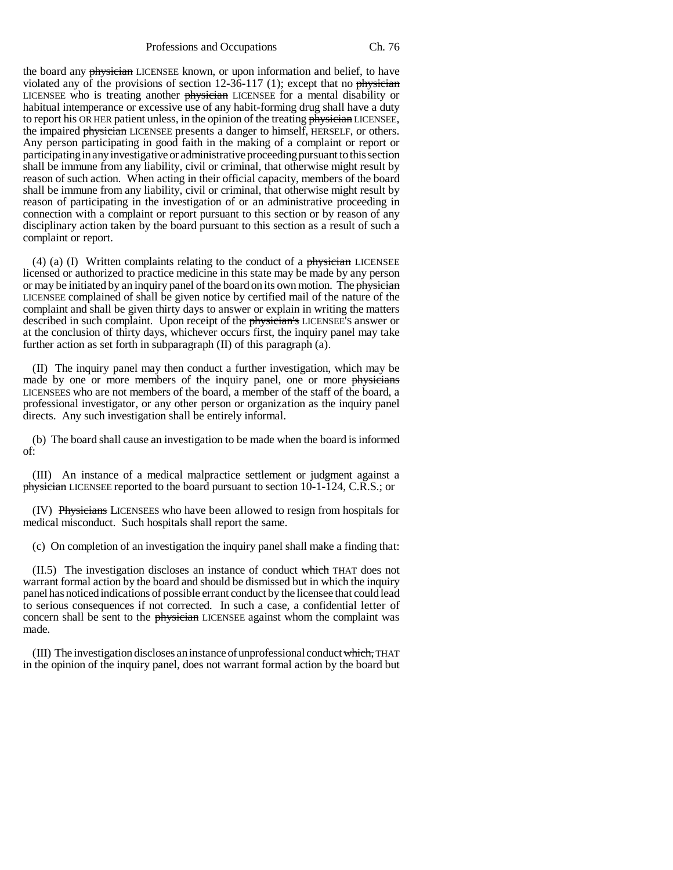Professions and Occupations Ch. 76

the board any physician LICENSEE known, or upon information and belief, to have violated any of the provisions of section  $12-36-117$  (1); except that no physician LICENSEE who is treating another physician LICENSEE for a mental disability or habitual intemperance or excessive use of any habit-forming drug shall have a duty to report his OR HER patient unless, in the opinion of the treating physician LICENSEE, the impaired physician LICENSEE presents a danger to himself, HERSELF, or others. Any person participating in good faith in the making of a complaint or report or participating in any investigative or administrative proceeding pursuant to this section shall be immune from any liability, civil or criminal, that otherwise might result by reason of such action. When acting in their official capacity, members of the board shall be immune from any liability, civil or criminal, that otherwise might result by reason of participating in the investigation of or an administrative proceeding in connection with a complaint or report pursuant to this section or by reason of any disciplinary action taken by the board pursuant to this section as a result of such a complaint or report.

(4) (a) (I) Written complaints relating to the conduct of a physician LICENSEE licensed or authorized to practice medicine in this state may be made by any person or may be initiated by an inquiry panel of the board on its own motion. The physician LICENSEE complained of shall be given notice by certified mail of the nature of the complaint and shall be given thirty days to answer or explain in writing the matters described in such complaint. Upon receipt of the physician's LICENSEE'S answer or at the conclusion of thirty days, whichever occurs first, the inquiry panel may take further action as set forth in subparagraph (II) of this paragraph (a).

(II) The inquiry panel may then conduct a further investigation, which may be made by one or more members of the inquiry panel, one or more physicians LICENSEES who are not members of the board, a member of the staff of the board, a professional investigator, or any other person or organization as the inquiry panel directs. Any such investigation shall be entirely informal.

(b) The board shall cause an investigation to be made when the board is informed of:

(III) An instance of a medical malpractice settlement or judgment against a physician LICENSEE reported to the board pursuant to section 10-1-124, C.R.S.; or

(IV) Physicians LICENSEES who have been allowed to resign from hospitals for medical misconduct. Such hospitals shall report the same.

(c) On completion of an investigation the inquiry panel shall make a finding that:

(II.5) The investigation discloses an instance of conduct which THAT does not warrant formal action by the board and should be dismissed but in which the inquiry panel has noticed indications of possible errant conduct by the licensee that could lead to serious consequences if not corrected. In such a case, a confidential letter of concern shall be sent to the physician LICENSEE against whom the complaint was made.

(III) The investigation discloses an instance of unprofessional conduct which, THAT in the opinion of the inquiry panel, does not warrant formal action by the board but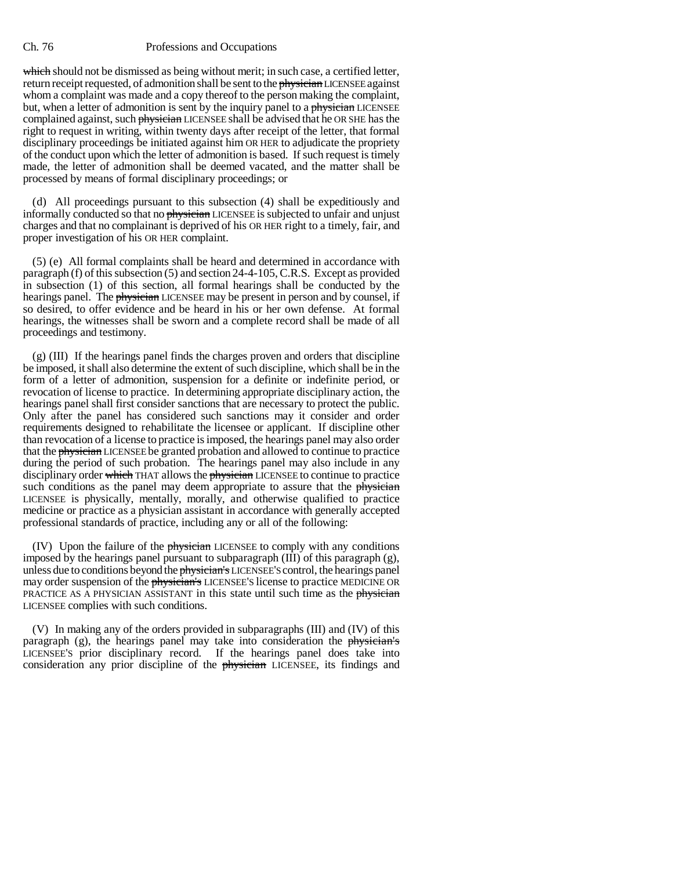which should not be dismissed as being without merit; in such case, a certified letter, return receipt requested, of admonition shall be sent to the physician LICENSEE against whom a complaint was made and a copy thereof to the person making the complaint, but, when a letter of admonition is sent by the inquiry panel to a physician LICENSEE complained against, such physician LICENSEE shall be advised that he OR SHE has the right to request in writing, within twenty days after receipt of the letter, that formal disciplinary proceedings be initiated against him OR HER to adjudicate the propriety of the conduct upon which the letter of admonition is based. If such request is timely made, the letter of admonition shall be deemed vacated, and the matter shall be processed by means of formal disciplinary proceedings; or

(d) All proceedings pursuant to this subsection (4) shall be expeditiously and informally conducted so that no physician LICENSEE is subjected to unfair and unjust charges and that no complainant is deprived of his OR HER right to a timely, fair, and proper investigation of his OR HER complaint.

(5) (e) All formal complaints shall be heard and determined in accordance with paragraph (f) of this subsection (5) and section 24-4-105, C.R.S. Except as provided in subsection (1) of this section, all formal hearings shall be conducted by the hearings panel. The physician LICENSEE may be present in person and by counsel, if so desired, to offer evidence and be heard in his or her own defense. At formal hearings, the witnesses shall be sworn and a complete record shall be made of all proceedings and testimony.

(g) (III) If the hearings panel finds the charges proven and orders that discipline be imposed, it shall also determine the extent of such discipline, which shall be in the form of a letter of admonition, suspension for a definite or indefinite period, or revocation of license to practice. In determining appropriate disciplinary action, the hearings panel shall first consider sanctions that are necessary to protect the public. Only after the panel has considered such sanctions may it consider and order requirements designed to rehabilitate the licensee or applicant. If discipline other than revocation of a license to practice is imposed, the hearings panel may also order that the physician LICENSEE be granted probation and allowed to continue to practice during the period of such probation. The hearings panel may also include in any disciplinary order which THAT allows the physician LICENSEE to continue to practice such conditions as the panel may deem appropriate to assure that the physician LICENSEE is physically, mentally, morally, and otherwise qualified to practice medicine or practice as a physician assistant in accordance with generally accepted professional standards of practice, including any or all of the following:

(IV) Upon the failure of the physician LICENSEE to comply with any conditions imposed by the hearings panel pursuant to subparagraph  $(III)$  of this paragraph  $(g)$ , unless due to conditions beyond the physician's LICENSEE'S control, the hearings panel may order suspension of the physician's LICENSEE'S license to practice MEDICINE OR PRACTICE AS A PHYSICIAN ASSISTANT in this state until such time as the physician LICENSEE complies with such conditions.

(V) In making any of the orders provided in subparagraphs (III) and (IV) of this paragraph  $(g)$ , the hearings panel may take into consideration the physician's LICENSEE'S prior disciplinary record. If the hearings panel does take into consideration any prior discipline of the *physician* LICENSEE, its findings and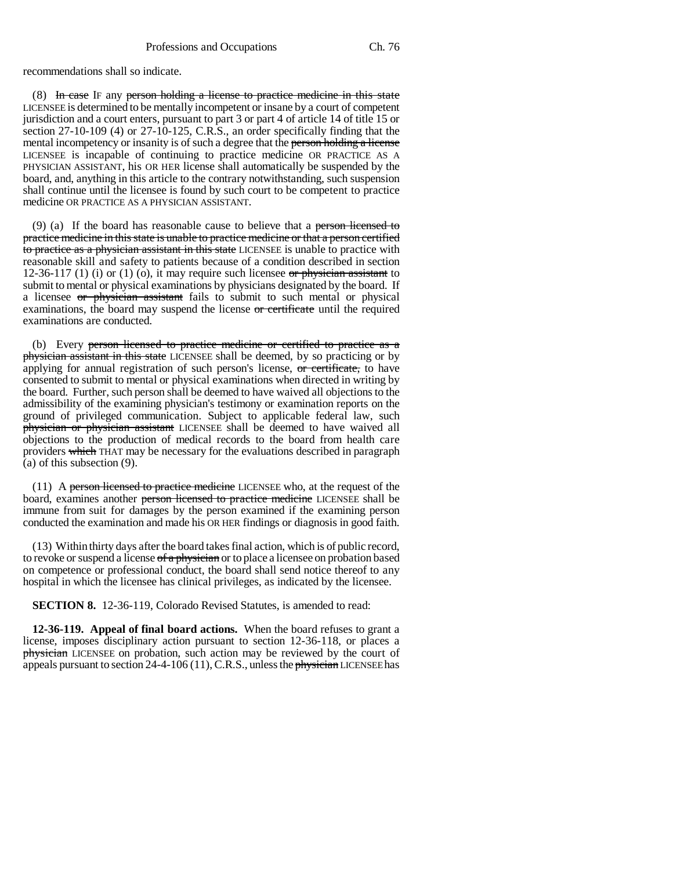recommendations shall so indicate.

(8) In case IF any person holding a license to practice medicine in this state LICENSEE is determined to be mentally incompetent or insane by a court of competent jurisdiction and a court enters, pursuant to part 3 or part 4 of article 14 of title 15 or section 27-10-109 (4) or 27-10-125, C.R.S., an order specifically finding that the mental incompetency or insanity is of such a degree that the person holding a license LICENSEE is incapable of continuing to practice medicine OR PRACTICE AS A PHYSICIAN ASSISTANT, his OR HER license shall automatically be suspended by the board, and, anything in this article to the contrary notwithstanding, such suspension shall continue until the licensee is found by such court to be competent to practice medicine OR PRACTICE AS A PHYSICIAN ASSISTANT.

(9) (a) If the board has reasonable cause to believe that a person-licensed to practice medicine in this state is unable to practice medicine or that a person certified to practice as a physician assistant in this state LICENSEE is unable to practice with reasonable skill and safety to patients because of a condition described in section 12-36-117 (1) (i) or (1) (o), it may require such licensee or physician assistant to submit to mental or physical examinations by physicians designated by the board. If a licensee or physician assistant fails to submit to such mental or physical examinations, the board may suspend the license or certificate until the required examinations are conducted.

(b) Every person licensed to practice medicine or certified to practice as a physician assistant in this state LICENSEE shall be deemed, by so practicing or by applying for annual registration of such person's license, or certificate, to have consented to submit to mental or physical examinations when directed in writing by the board. Further, such person shall be deemed to have waived all objections to the admissibility of the examining physician's testimony or examination reports on the ground of privileged communication. Subject to applicable federal law, such physician or physician assistant LICENSEE shall be deemed to have waived all objections to the production of medical records to the board from health care providers which THAT may be necessary for the evaluations described in paragraph (a) of this subsection (9).

(11) A person licensed to practice medicine LICENSEE who, at the request of the board, examines another person licensed to practice medicine LICENSEE shall be immune from suit for damages by the person examined if the examining person conducted the examination and made his OR HER findings or diagnosis in good faith.

(13) Within thirty days after the board takes final action, which is of public record, to revoke or suspend a license of a physician or to place a licensee on probation based on competence or professional conduct, the board shall send notice thereof to any hospital in which the licensee has clinical privileges, as indicated by the licensee.

**SECTION 8.** 12-36-119, Colorado Revised Statutes, is amended to read:

**12-36-119. Appeal of final board actions.** When the board refuses to grant a license, imposes disciplinary action pursuant to section 12-36-118, or places a physician LICENSEE on probation, such action may be reviewed by the court of appeals pursuant to section 24-4-106 (11), C.R.S., unless the physician LICENSEE has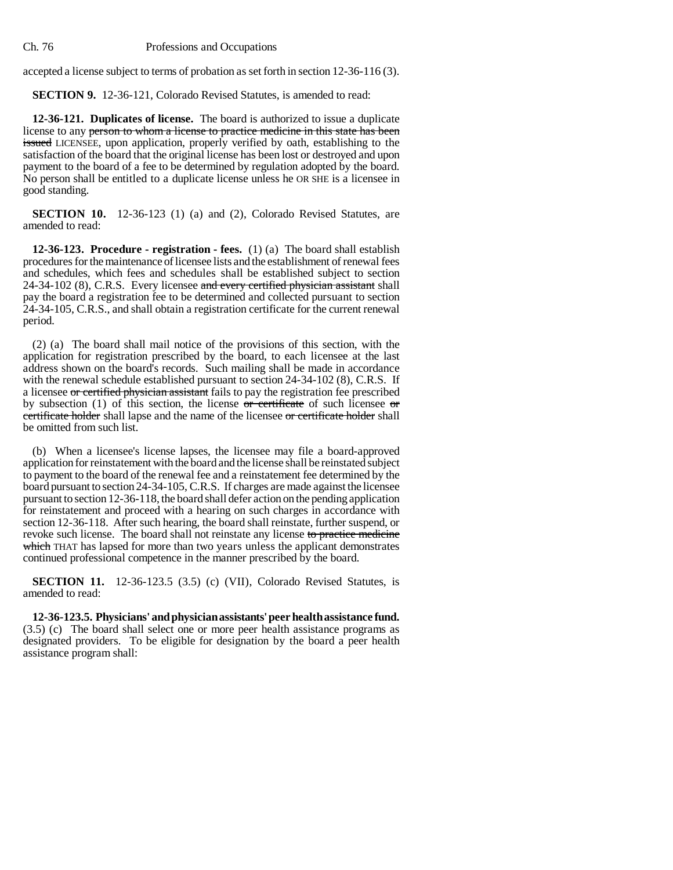accepted a license subject to terms of probation as set forth in section 12-36-116 (3).

**SECTION 9.** 12-36-121, Colorado Revised Statutes, is amended to read:

**12-36-121. Duplicates of license.** The board is authorized to issue a duplicate license to any person to whom a license to practice medicine in this state has been issued LICENSEE, upon application, properly verified by oath, establishing to the satisfaction of the board that the original license has been lost or destroyed and upon payment to the board of a fee to be determined by regulation adopted by the board. No person shall be entitled to a duplicate license unless he OR SHE is a licensee in good standing.

**SECTION 10.** 12-36-123 (1) (a) and (2), Colorado Revised Statutes, are amended to read:

**12-36-123. Procedure - registration - fees.** (1) (a) The board shall establish procedures for the maintenance of licensee lists and the establishment of renewal fees and schedules, which fees and schedules shall be established subject to section 24-34-102 (8), C.R.S. Every licensee and every certified physician assistant shall pay the board a registration fee to be determined and collected pursuant to section 24-34-105, C.R.S., and shall obtain a registration certificate for the current renewal period.

(2) (a) The board shall mail notice of the provisions of this section, with the application for registration prescribed by the board, to each licensee at the last address shown on the board's records. Such mailing shall be made in accordance with the renewal schedule established pursuant to section 24-34-102 (8), C.R.S. If a licensee or certified physician assistant fails to pay the registration fee prescribed by subsection (1) of this section, the license or certificate of such licensee or certificate holder shall lapse and the name of the licensee or certificate holder shall be omitted from such list.

(b) When a licensee's license lapses, the licensee may file a board-approved application for reinstatement with the board and the license shall be reinstated subject to payment to the board of the renewal fee and a reinstatement fee determined by the board pursuant to section 24-34-105, C.R.S. If charges are made against the licensee pursuant to section 12-36-118, the board shall defer action on the pending application for reinstatement and proceed with a hearing on such charges in accordance with section 12-36-118. After such hearing, the board shall reinstate, further suspend, or revoke such license. The board shall not reinstate any license to practice medicine which THAT has lapsed for more than two years unless the applicant demonstrates continued professional competence in the manner prescribed by the board.

**SECTION 11.** 12-36-123.5 (3.5) (c) (VII), Colorado Revised Statutes, is amended to read:

**12-36-123.5. Physicians' and physician assistants' peer health assistance fund.** (3.5) (c) The board shall select one or more peer health assistance programs as designated providers. To be eligible for designation by the board a peer health assistance program shall: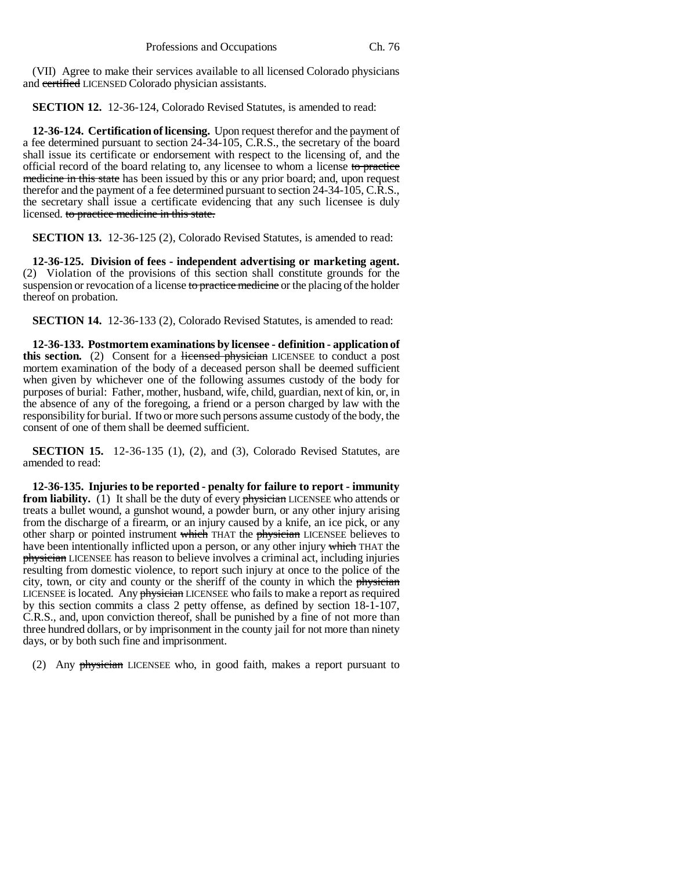(VII) Agree to make their services available to all licensed Colorado physicians and certified LICENSED Colorado physician assistants.

**SECTION 12.** 12-36-124, Colorado Revised Statutes, is amended to read:

**12-36-124. Certification of licensing.** Upon request therefor and the payment of a fee determined pursuant to section 24-34-105, C.R.S., the secretary of the board shall issue its certificate or endorsement with respect to the licensing of, and the official record of the board relating to, any licensee to whom a license to practice medicine in this state has been issued by this or any prior board; and, upon request therefor and the payment of a fee determined pursuant to section 24-34-105, C.R.S., the secretary shall issue a certificate evidencing that any such licensee is duly licensed. to practice medicine in this state.

**SECTION 13.** 12-36-125 (2), Colorado Revised Statutes, is amended to read:

**12-36-125. Division of fees - independent advertising or marketing agent.** (2) Violation of the provisions of this section shall constitute grounds for the suspension or revocation of a license to practice medicine or the placing of the holder thereof on probation.

**SECTION 14.** 12-36-133 (2), Colorado Revised Statutes, is amended to read:

**12-36-133. Postmortem examinations by licensee - definition - application of this section.** (2) Consent for a licensed physician LICENSEE to conduct a post mortem examination of the body of a deceased person shall be deemed sufficient when given by whichever one of the following assumes custody of the body for purposes of burial: Father, mother, husband, wife, child, guardian, next of kin, or, in the absence of any of the foregoing, a friend or a person charged by law with the responsibility for burial. If two or more such persons assume custody of the body, the consent of one of them shall be deemed sufficient.

**SECTION 15.** 12-36-135 (1), (2), and (3), Colorado Revised Statutes, are amended to read:

**12-36-135. Injuries to be reported - penalty for failure to report - immunity from liability.** (1) It shall be the duty of every *physician* LICENSEE who attends or treats a bullet wound, a gunshot wound, a powder burn, or any other injury arising from the discharge of a firearm, or an injury caused by a knife, an ice pick, or any other sharp or pointed instrument which THAT the physician LICENSEE believes to have been intentionally inflicted upon a person, or any other injury which THAT the physician LICENSEE has reason to believe involves a criminal act, including injuries resulting from domestic violence, to report such injury at once to the police of the city, town, or city and county or the sheriff of the county in which the physician LICENSEE is located. Any physician LICENSEE who fails to make a report as required by this section commits a class 2 petty offense, as defined by section 18-1-107, C.R.S., and, upon conviction thereof, shall be punished by a fine of not more than three hundred dollars, or by imprisonment in the county jail for not more than ninety days, or by both such fine and imprisonment.

(2) Any physician LICENSEE who, in good faith, makes a report pursuant to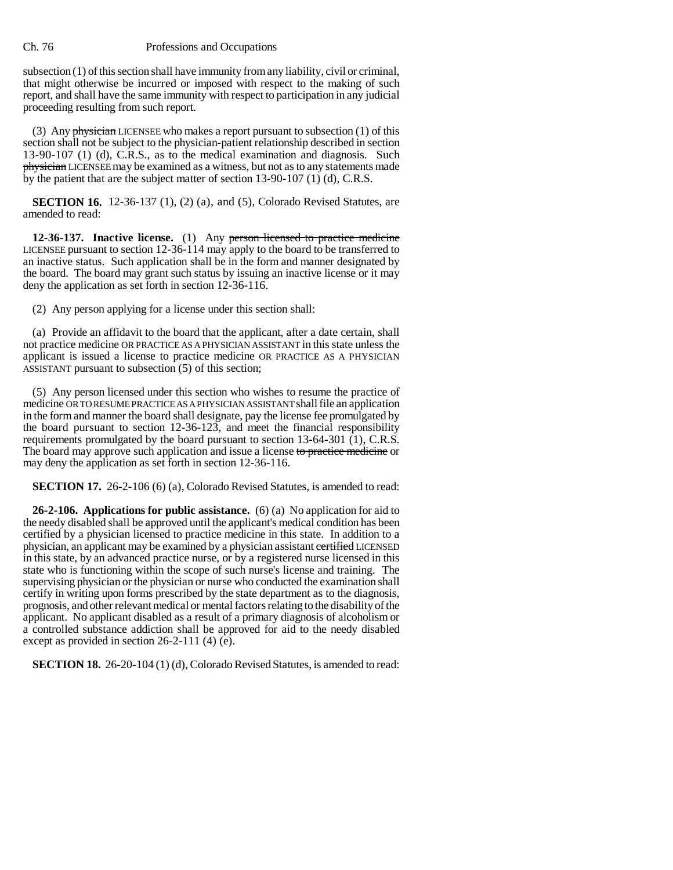subsection (1) of this section shall have immunity from any liability, civil or criminal, that might otherwise be incurred or imposed with respect to the making of such report, and shall have the same immunity with respect to participation in any judicial proceeding resulting from such report.

(3) Any physician LICENSEE who makes a report pursuant to subsection (1) of this section shall not be subject to the physician-patient relationship described in section 13-90-107 (1) (d), C.R.S., as to the medical examination and diagnosis. Such physician LICENSEE may be examined as a witness, but not as to any statements made by the patient that are the subject matter of section 13-90-107 (1) (d), C.R.S.

**SECTION 16.** 12-36-137 (1), (2) (a), and (5), Colorado Revised Statutes, are amended to read:

**12-36-137. Inactive license.** (1) Any person licensed to practice medicine LICENSEE pursuant to section 12-36-114 may apply to the board to be transferred to an inactive status. Such application shall be in the form and manner designated by the board. The board may grant such status by issuing an inactive license or it may deny the application as set forth in section 12-36-116.

(2) Any person applying for a license under this section shall:

(a) Provide an affidavit to the board that the applicant, after a date certain, shall not practice medicine OR PRACTICE AS A PHYSICIAN ASSISTANT in this state unless the applicant is issued a license to practice medicine OR PRACTICE AS A PHYSICIAN ASSISTANT pursuant to subsection (5) of this section;

(5) Any person licensed under this section who wishes to resume the practice of medicine OR TO RESUME PRACTICE AS A PHYSICIAN ASSISTANT shall file an application in the form and manner the board shall designate, pay the license fee promulgated by the board pursuant to section 12-36-123, and meet the financial responsibility requirements promulgated by the board pursuant to section  $13-64-301$  (1), C.R.S. The board may approve such application and issue a license to practice medicine or may deny the application as set forth in section 12-36-116.

**SECTION 17.** 26-2-106 (6) (a), Colorado Revised Statutes, is amended to read:

**26-2-106. Applications for public assistance.** (6) (a) No application for aid to the needy disabled shall be approved until the applicant's medical condition has been certified by a physician licensed to practice medicine in this state. In addition to a physician, an applicant may be examined by a physician assistant certified LICENSED in this state, by an advanced practice nurse, or by a registered nurse licensed in this state who is functioning within the scope of such nurse's license and training. The supervising physician or the physician or nurse who conducted the examination shall certify in writing upon forms prescribed by the state department as to the diagnosis, prognosis, and other relevant medical or mental factors relating to the disability of the applicant. No applicant disabled as a result of a primary diagnosis of alcoholism or a controlled substance addiction shall be approved for aid to the needy disabled except as provided in section 26-2-111 (4) (e).

**SECTION 18.** 26-20-104 (1) (d), Colorado Revised Statutes, is amended to read: